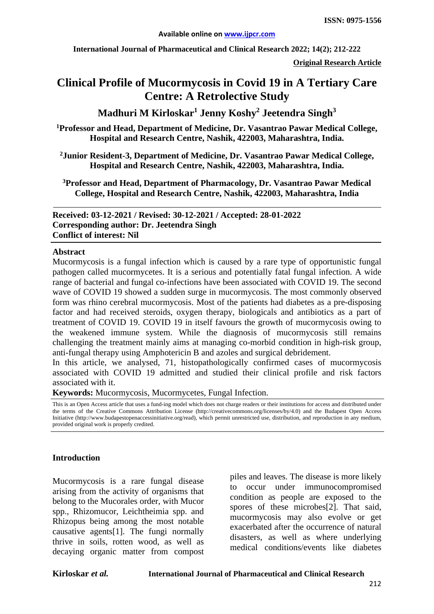**International Journal of Pharmaceutical and Clinical Research 2022; 14(2); 212-222**

**Original Research Article**

# **Clinical Profile of Mucormycosis in Covid 19 in A Tertiary Care Centre: A Retrolective Study**

**Madhuri M Kirloskar1 Jenny Koshy2 Jeetendra Singh3**

**1 Professor and Head, Department of Medicine, Dr. Vasantrao Pawar Medical College, Hospital and Research Centre, Nashik, 422003, Maharashtra, India.**

**2Junior Resident-3, Department of Medicine, Dr. Vasantrao Pawar Medical College, Hospital and Research Centre, Nashik, 422003, Maharashtra, India.**

**3 Professor and Head, Department of Pharmacology, Dr. Vasantrao Pawar Medical College, Hospital and Research Centre, Nashik, 422003, Maharashtra, India**

**Received: 03-12-2021 / Revised: 30-12-2021 / Accepted: 28-01-2022 Corresponding author: Dr. Jeetendra Singh Conflict of interest: Nil**

#### **Abstract**

Mucormycosis is a fungal infection which is caused by a rare type of opportunistic fungal pathogen called mucormycetes. It is a serious and potentially fatal fungal infection. A wide range of bacterial and fungal co-infections have been associated with COVID 19. The second wave of COVID 19 showed a sudden surge in mucormycosis. The most commonly observed form was rhino cerebral mucormycosis. Most of the patients had diabetes as a pre-disposing factor and had received steroids, oxygen therapy, biologicals and antibiotics as a part of treatment of COVID 19. COVID 19 in itself favours the growth of mucormycosis owing to the weakened immune system. While the diagnosis of mucormycosis still remains challenging the treatment mainly aims at managing co-morbid condition in high-risk group, anti-fungal therapy using Amphotericin B and azoles and surgical debridement.

In this article, we analysed, 71, histopathologically confirmed cases of mucormycosis associated with COVID 19 admitted and studied their clinical profile and risk factors associated with it.

**Keywords:** Mucormycosis, Mucormycetes, Fungal Infection.

This is an Open Access article that uses a fund-ing model which does not charge readers or their institutions for access and distributed under the terms of the Creative Commons Attribution License (http://creativecommons.org/licenses/by/4.0) and the Budapest Open Access Initiative (http://www.budapestopenaccessinitiative.org/read), which permit unrestricted use, distribution, and reproduction in any medium, provided original work is properly credited.

#### **Introduction**

Mucormycosis is a rare fungal disease arising from the activity of organisms that belong to the Mucorales order, with Mucor spp., Rhizomucor, Leichtheimia spp. and Rhizopus being among the most notable causative agents[1]. The fungi normally thrive in soils, rotten wood, as well as decaying organic matter from compost piles and leaves. The disease is more likely to occur under immunocompromised condition as people are exposed to the spores of these microbes[2]. That said, mucormycosis may also evolve or get exacerbated after the occurrence of natural disasters, as well as where underlying medical conditions/events like diabetes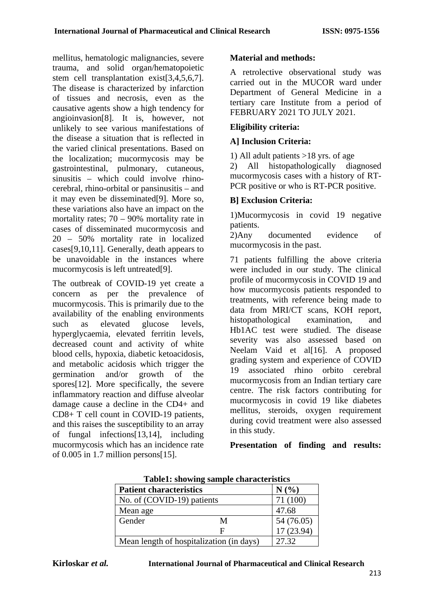mellitus, hematologic malignancies, severe trauma, and solid organ/hematopoietic stem cell transplantation exist[3,4,5,6,7]. The disease is characterized by infarction of tissues and necrosis, even as the causative agents show a high tendency for angioinvasion[8]. It is, however, not unlikely to see various manifestations of the disease a situation that is reflected in the varied clinical presentations. Based on the localization; mucormycosis may be gastrointestinal, pulmonary, cutaneous, sinusitis – which could involve rhinocerebral, rhino-orbital or pansinusitis – and it may even be disseminated[9]. More so, these variations also have an impact on the mortality rates; 70 – 90% mortality rate in cases of disseminated mucormycosis and 20 – 50% mortality rate in localized cases[9,10,11]. Generally, death appears to be unavoidable in the instances where mucormycosis is left untreated[9].

The outbreak of COVID-19 yet create a concern as per the prevalence of mucormycosis. This is primarily due to the availability of the enabling environments such as elevated glucose levels, hyperglycaemia, elevated ferritin levels, decreased count and activity of white blood cells, hypoxia, diabetic ketoacidosis, and metabolic acidosis which trigger the germination and/or growth of the spores[12]. More specifically, the severe inflammatory reaction and diffuse alveolar damage cause a decline in the CD4+ and CD8+ T cell count in COVID-19 patients, and this raises the susceptibility to an array of fungal infections[13,14], including mucormycosis which has an incidence rate of 0.005 in 1.7 million persons[15].

# **Material and methods:**

A retrolective observational study was carried out in the MUCOR ward under Department of General Medicine in a tertiary care Institute from a period of FEBRUARY 2021 TO JULY 2021.

## **Eligibility criteria:**

## **A] Inclusion Criteria:**

1) All adult patients >18 yrs. of age<br>2) All histopathologically diagnosed 2) All histopathologically mucormycosis cases with a history of RT-PCR positive or who is RT-PCR positive.

## **B] Exclusion Criteria:**

1)Mucormycosis in covid 19 negative patients.

2)Any documented evidence of mucormycosis in the past.

71 patients fulfilling the above criteria were included in our study. The clinical profile of mucormycosis in COVID 19 and how mucormycosis patients responded to treatments, with reference being made to data from MRI/CT scans, KOH report, histopathological examination, and Hb1AC test were studied. The disease severity was also assessed based on Neelam Vaid et al[16]. A proposed grading system and experience of COVID 19 associated rhino orbito cerebral mucormycosis from an Indian tertiary care centre. The risk factors contributing for mucormycosis in covid 19 like diabetes mellitus, steroids, oxygen requirement during covid treatment were also assessed in this study.

**Presentation of finding and results:**

| <b>Patient characteristics</b>           | N(%      |                          |  |
|------------------------------------------|----------|--------------------------|--|
| No. of (COVID-19) patients               | 71 (100) |                          |  |
| Mean age                                 |          | 47.68                    |  |
| Gender                                   | M        |                          |  |
|                                          | F        | 54 (76.05)<br>17 (23.94) |  |
| Mean length of hospitalization (in days) | 27.32    |                          |  |

**Table1: showing sample characteristics**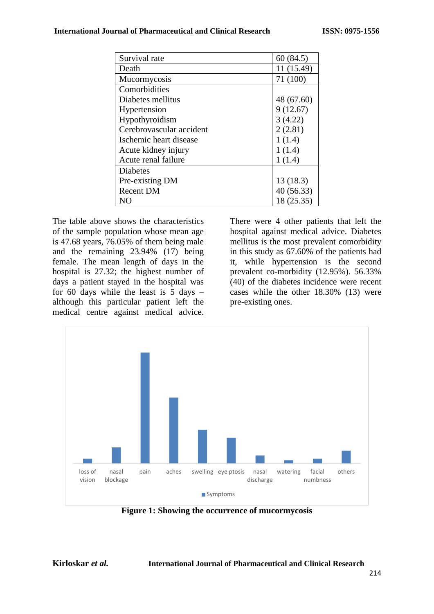| Survival rate            | 60(84.5)   |
|--------------------------|------------|
| Death                    | 11 (15.49) |
| Mucormycosis             | 71 (100)   |
| Comorbidities            |            |
| Diabetes mellitus        | 48 (67.60) |
| Hypertension             | 9(12.67)   |
| Hypothyroidism           | 3(4.22)    |
| Cerebrovascular accident | 2(2.81)    |
| Ischemic heart disease   | 1(1.4)     |
| Acute kidney injury      | 1(1.4)     |
| Acute renal failure      | 1(1.4)     |
| Diabetes                 |            |
| Pre-existing DM          | 13(18.3)   |
| <b>Recent DM</b>         | 40(56.33)  |
| NO                       | 18 (25.35) |

The table above shows the characteristics of the sample population whose mean age is 47.68 years, 76.05% of them being male and the remaining 23.94% (17) being female. The mean length of days in the hospital is 27.32; the highest number of days a patient stayed in the hospital was for 60 days while the least is 5 days – although this particular patient left the medical centre against medical advice.

There were 4 other patients that left the hospital against medical advice. Diabetes mellitus is the most prevalent comorbidity in this study as 67.60% of the patients had it, while hypertension is the second prevalent co-morbidity (12.95%). 56.33% (40) of the diabetes incidence were recent cases while the other 18.30% (13) were pre-existing ones.



**Figure 1: Showing the occurrence of mucormycosis**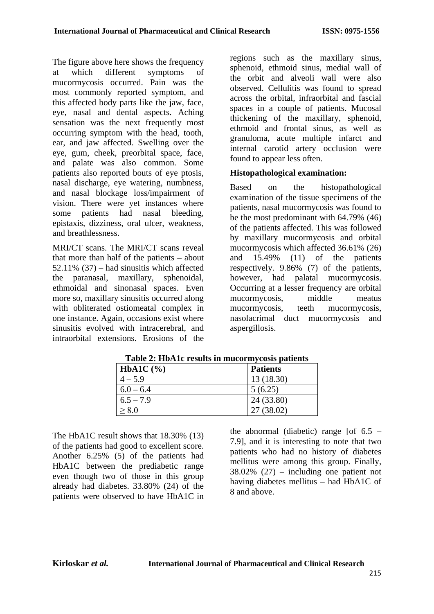The figure above here shows the frequency at which different symptoms of mucormycosis occurred. Pain was the most commonly reported symptom, and this affected body parts like the jaw, face, eye, nasal and dental aspects. Aching sensation was the next frequently most occurring symptom with the head, tooth, ear, and jaw affected. Swelling over the eye, gum, cheek, preorbital space, face, and palate was also common. Some patients also reported bouts of eye ptosis, nasal discharge, eye watering, numbness, and nasal blockage loss/impairment of vision. There were yet instances where some patients had nasal bleeding, epistaxis, dizziness, oral ulcer, weakness, and breathlessness.

MRI/CT scans. The MRI/CT scans reveal that more than half of the patients – about 52.11% (37) – had sinusitis which affected the paranasal, maxillary, sphenoidal, ethmoidal and sinonasal spaces. Even more so, maxillary sinusitis occurred along with obliterated ostiomeatal complex in one instance. Again, occasions exist where sinusitis evolved with intracerebral, and intraorbital extensions. Erosions of the

regions such as the maxillary sinus, sphenoid, ethmoid sinus, medial wall of the orbit and alveoli wall were also observed. Cellulitis was found to spread across the orbital, infraorbital and fascial spaces in a couple of patients. Mucosal thickening of the maxillary, sphenoid, ethmoid and frontal sinus, as well as granuloma, acute multiple infarct and internal carotid artery occlusion were found to appear less often.

# **Histopathological examination:**

Based on the histopathological examination of the tissue specimens of the patients, nasal mucormycosis was found to be the most predominant with 64.79% (46) of the patients affected. This was followed by maxillary mucormycosis and orbital mucormycosis which affected 36.61% (26) and 15.49% (11) of the patients respectively. 9.86% (7) of the patients, however, had palatal mucormycosis. Occurring at a lesser frequency are orbital mucormycosis, middle meatus mucormycosis, teeth mucormycosis, nasolacrimal duct mucormycosis and aspergillosis.

| $HbA1C$ $(\% )$ | <b>Patients</b> |
|-----------------|-----------------|
| $4 - 5.9$       | 13(18.30)       |
| $6.0 - 6.4$     | 5(6.25)         |
| $6.5 - 7.9$     | 24 (33.80)      |
| > 8.0           | 27 (38.02)      |

**Table 2: HbA1c results in mucormycosis patients**

The HbA1C result shows that 18.30% (13) of the patients had good to excellent score. Another 6.25% (5) of the patients had HbA1C between the prediabetic range even though two of those in this group already had diabetes. 33.80% (24) of the patients were observed to have HbA1C in the abnormal (diabetic) range [of  $6.5$  – 7.9], and it is interesting to note that two patients who had no history of diabetes mellitus were among this group. Finally, 38.02% (27) – including one patient not having diabetes mellitus – had HbA1C of 8 and above.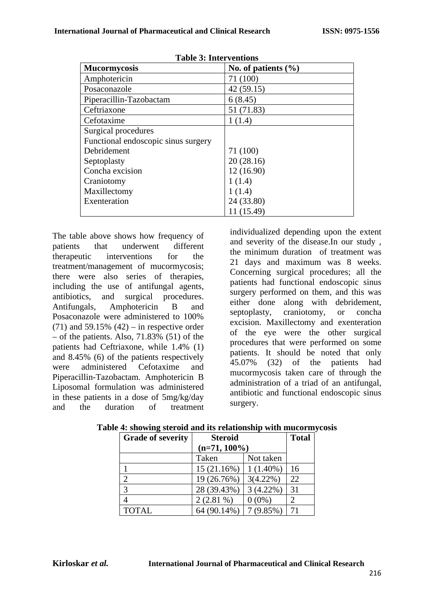| таон э. нист спионз                 |                       |  |  |  |
|-------------------------------------|-----------------------|--|--|--|
| <b>Mucormycosis</b>                 | No. of patients $(\%$ |  |  |  |
| Amphotericin                        | 71 (100)              |  |  |  |
| Posaconazole                        | 42(59.15)             |  |  |  |
| Piperacillin-Tazobactam             | 6(8.45)               |  |  |  |
| Ceftriaxone                         | 51 (71.83)            |  |  |  |
| Cefotaxime                          | 1(1.4)                |  |  |  |
| Surgical procedures                 |                       |  |  |  |
| Functional endoscopic sinus surgery |                       |  |  |  |
| Debridement                         | 71 (100)              |  |  |  |
| Septoplasty                         | 20(28.16)             |  |  |  |
| Concha excision                     | 12(16.90)             |  |  |  |
| Craniotomy                          | 1(1.4)                |  |  |  |
| Maxillectomy                        | 1(1.4)                |  |  |  |
| Exenteration                        | 24 (33.80)            |  |  |  |
|                                     | 11 (15.49)            |  |  |  |

**Table 3: Interventions**

The table above shows how frequency of patients that underwent different therapeutic interventions for the treatment/management of mucormycosis; there were also series of therapies, including the use of antifungal agents, antibiotics, and surgical procedures. Antifungals, Amphotericin B and Posaconazole were administered to 100% (71) and  $59.15\%$  (42) – in respective order – of the patients. Also,  $71.83\%$  (51) of the patients had Ceftriaxone, while 1.4% (1) and 8.45% (6) of the patients respectively were administered Cefotaxime and Piperacillin-Tazobactam. Amphotericin B Liposomal formulation was administered in these patients in a dose of 5mg/kg/day and the duration of treatment individualized depending upon the extent and severity of the disease.In our study , the minimum duration of treatment was 21 days and maximum was 8 weeks. Concerning surgical procedures; all the patients had functional endoscopic sinus surgery performed on them, and this was either done along with debridement, septoplasty, craniotomy, or concha excision. Maxillectomy and exenteration of the eye were the other surgical procedures that were performed on some patients. It should be noted that only 45.07% (32) of the patients had mucormycosis taken care of through the administration of a triad of an antifungal, antibiotic and functional endoscopic sinus surgery.

| <b>Grade of severity</b> | <b>Steroid</b>  |             | <b>Total</b> |
|--------------------------|-----------------|-------------|--------------|
|                          | $(n=71, 100\%)$ |             |              |
|                          | Taken           | Not taken   |              |
|                          | 15(21.16%)      | $1(1.40\%)$ | 16           |
| っ                        | 19 (26.76%)     | $3(4.22\%)$ | 22           |
| 3                        | 28 (39.43%)     | $3(4.22\%)$ | 31           |
|                          | $2(2.81\%)$     | $0(0\%)$    | 2            |
| <b>TOTAL</b>             | 64 (90.14%)     | 7(9.85%)    | 71           |

**Table 4: showing steroid and its relationship with mucormycosis**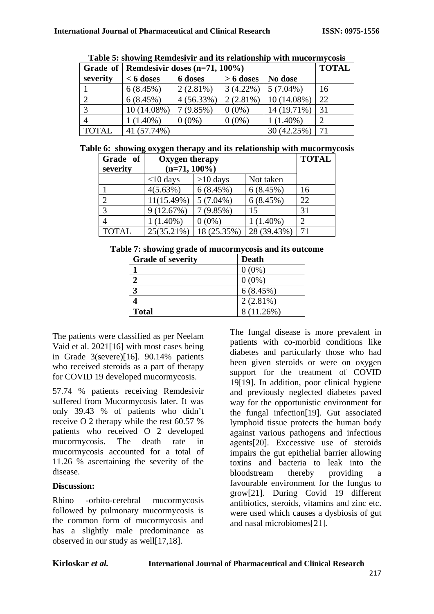|              | Table 3: Showing Kemuesiyn and hs relationship with mucoring costs |                                           |             |               |    |  |
|--------------|--------------------------------------------------------------------|-------------------------------------------|-------------|---------------|----|--|
|              |                                                                    | Grade of Remdesivir doses $(n=71, 100\%)$ |             |               |    |  |
| severity     | $< 6$ doses                                                        | 6 doses                                   | $> 6$ doses | No dose       |    |  |
|              | 6(8.45%)                                                           | $2(2.81\%)$                               | $3(4.22\%)$ | $5(7.04\%)$   | 16 |  |
|              | 6(8.45%)                                                           | 4(56.33%)                                 | $2(2.81\%)$ | $10(14.08\%)$ | 22 |  |
|              | 10 (14.08%)                                                        | 7(9.85%)                                  | $0(0\%)$    | 14 (19.71%)   | 31 |  |
|              | $1(1.40\%)$                                                        | $0(0\%)$                                  | $0(0\%)$    | $1(1.40\%)$   |    |  |
| <b>TOTAL</b> | 41 (57.74%)                                                        |                                           |             | 30 (42.25%)   | 71 |  |

**Table 5: showing Remdesivir and its relationship with mucormycosis**

|  |  |  | Table 6: showing oxygen therapy and its relationship with mucormycosis |  |  |
|--|--|--|------------------------------------------------------------------------|--|--|
|  |  |  |                                                                        |  |  |

| Grade of<br>severity | Oxygen therapy<br>$(n=71, 100\%)$ |             |             | <b>TOTAL</b> |
|----------------------|-----------------------------------|-------------|-------------|--------------|
|                      | $<$ 10 days                       | $>10$ days  | Not taken   |              |
|                      | 4(5.63%)                          | 6(8.45%)    | 6(8.45%)    | 16           |
| $\overline{2}$       | $11(15.49\%)$                     | $5(7.04\%)$ | 6(8.45%)    | 22           |
| 3                    | 9(12.67%)                         | 7(9.85%)    | 15          | 31           |
|                      | $1(1.40\%)$                       | $0(0\%)$    | $1(1.40\%)$ | 2            |
| <b>TOTAL</b>         | 25(35.21%)                        | 18 (25.35%) | 28 (39.43%) |              |

**Table 7: showing grade of mucormycosis and its outcome**

| <b>Grade of severity</b> | <b>Death</b> |
|--------------------------|--------------|
|                          | $0(0\%)$     |
|                          | $0(0\%)$     |
|                          | 6(8.45%)     |
|                          | $2(2.81\%)$  |
| <b>Total</b>             | 8 (11.26%)   |

The patients were classified as per Neelam Vaid et al. 2021[16] with most cases being in Grade 3(severe)[16]. 90.14% patients who received steroids as a part of therapy for COVID 19 developed mucormycosis.

57.74 % patients receiving Remdesivir suffered from Mucormycosis later. It was only 39.43 % of patients who didn't receive O 2 therapy while the rest 60.57 % patients who received O 2 developed mucormycosis. The death rate in mucormycosis accounted for a total of 11.26 % ascertaining the severity of the disease.

# **Discussion:**

Rhino -orbito-cerebral mucormycosis followed by pulmonary mucormycosis is the common form of mucormycosis and has a slightly male predominance as observed in our study as well[17,18].

The fungal disease is more prevalent in patients with co-morbid conditions like diabetes and particularly those who had been given steroids or were on oxygen support for the treatment of COVID 19[19]. In addition, poor clinical hygiene and previously neglected diabetes paved way for the opportunistic environment for the fungal infection[19]. Gut associated lymphoid tissue protects the human body against various pathogens and infectious agents[20]. Exccessive use of steroids impairs the gut epithelial barrier allowing toxins and bacteria to leak into the bloodstream thereby providing a favourable environment for the fungus to grow[21]. During Covid 19 different antibiotics, steroids, vitamins and zinc etc. were used which causes a dysbiosis of gut and nasal microbiomes[21].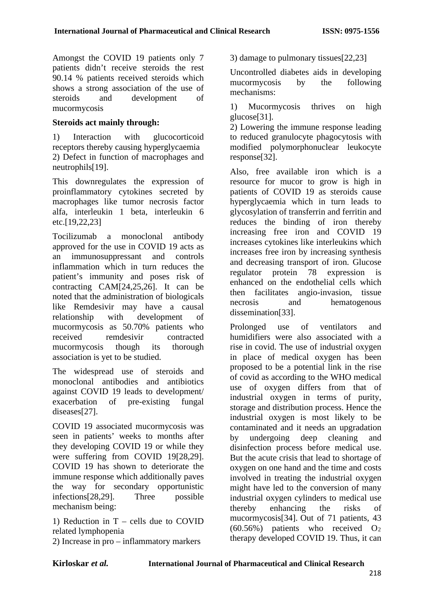Amongst the COVID 19 patients only 7 patients didn't receive steroids the rest 90.14 % patients received steroids which shows a strong association of the use of steroids and development of mucormycosis

#### **Steroids act mainly through:**

1) Interaction with glucocorticoid receptors thereby causing hyperglycaemia 2) Defect in function of macrophages and neutrophils[19].

This downregulates the expression of proinflammatory cytokines secreted by macrophages like tumor necrosis factor alfa, interleukin 1 beta, interleukin 6 etc.[19,22,23]

Tocilizumab a monoclonal antibody approved for the use in COVID 19 acts as an immunosuppressant and controls inflammation which in turn reduces the patient's immunity and poses risk of contracting CAM[24,25,26]. It can be noted that the administration of biologicals like Remdesivir may have a causal relationship with development of mucormycosis as 50.70% patients who received remdesivir contracted mucormycosis though its thorough association is yet to be studied.

The widespread use of steroids and monoclonal antibodies and antibiotics against COVID 19 leads to development/ exacerbation of pre-existing fungal diseases[27].

COVID 19 associated mucormycosis was seen in patients' weeks to months after they developing COVID 19 or while they were suffering from COVID 19[28,29]. COVID 19 has shown to deteriorate the immune response which additionally paves the way for secondary opportunistic infections[28,29]. Three possible mechanism being:

1) Reduction in  $T -$  cells due to COVID related lymphopenia

2) Increase in pro – inflammatory markers

3) damage to pulmonary tissues[22,23]

Uncontrolled diabetes aids in developing mucormycosis by the following mechanisms:

1) Mucormycosis thrives on high glucose[31].

2) Lowering the immune response leading to reduced granulocyte phagocytosis with modified polymorphonuclear leukocyte response[32].

Also, free available iron which is a resource for mucor to grow is high in patients of COVID 19 as steroids cause hyperglycaemia which in turn leads to glycosylation of transferrin and ferritin and reduces the binding of iron thereby increasing free iron and COVID 19 increases cytokines like interleukins which increases free iron by increasing synthesis and decreasing transport of iron. Glucose regulator protein 78 expression is enhanced on the endothelial cells which then facilitates angio-invasion, tissue necrosis and hematogenous dissemination[33].

Prolonged use of ventilators and humidifiers were also associated with a rise in covid. The use of industrial oxygen in place of medical oxygen has been proposed to be a potential link in the rise of covid as according to the WHO medical use of oxygen differs from that of industrial oxygen in terms of purity, storage and distribution process. Hence the industrial oxygen is most likely to be contaminated and it needs an upgradation by undergoing deep cleaning and disinfection process before medical use. But the acute crisis that lead to shortage of oxygen on one hand and the time and costs involved in treating the industrial oxygen might have led to the conversion of many industrial oxygen cylinders to medical use thereby enhancing the risks of mucormycosis[34]. Out of 71 patients, 43 (60.56%) patients who received O2 therapy developed COVID 19. Thus, it can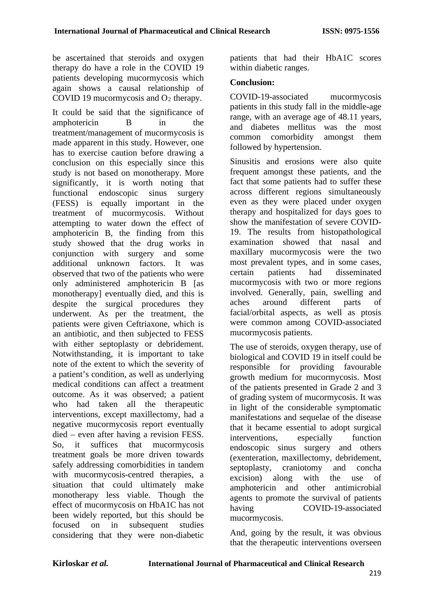be ascertained that steroids and oxygen therapy do have a role in the COVID 19 patients developing mucormycosis which again shows a causal relationship of COVID 19 mucormycosis and  $O_2$  therapy.

It could be said that the significance of amphotericin B in the treatment/management of mucormycosis is made apparent in this study. However, one has to exercise caution before drawing a conclusion on this especially since this study is not based on monotherapy. More significantly, it is worth noting that functional endoscopic sinus surgery (FESS) is equally important in the treatment of mucormycosis. Without attempting to water down the effect of amphotericin B, the finding from this study showed that the drug works in conjunction with surgery and some additional unknown factors. It was observed that two of the patients who were only administered amphotericin B [as monotherapy] eventually died, and this is despite the surgical procedures they underwent. As per the treatment, the patients were given Ceftriaxone, which is an antibiotic, and then subjected to FESS with either septoplasty or debridement. Notwithstanding, it is important to take note of the extent to which the severity of a patient's condition, as well as underlying medical conditions can affect a treatment outcome. As it was observed; a patient who had taken all the therapeutic interventions, except maxillectomy, had a negative mucormycosis report eventually died – even after having a revision FESS. So, it suffices that mucormycosis treatment goals be more driven towards safely addressing comorbidities in tandem with mucormycosis-centred therapies, a situation that could ultimately make monotherapy less viable. Though the effect of mucormycosis on HbA1C has not been widely reported, but this should be focused on in subsequent studies considering that they were non-diabetic

patients that had their HbA1C scores within diabetic ranges.

#### **Conclusion:**

COVID-19-associated mucormycosis patients in this study fall in the middle-age range, with an average age of 48.11 years, and diabetes mellitus was the most common comorbidity amongst them followed by hypertension.

Sinusitis and erosions were also quite frequent amongst these patients, and the fact that some patients had to suffer these across different regions simultaneously even as they were placed under oxygen therapy and hospitalized for days goes to show the manifestation of severe COVID-19. The results from histopathological examination showed that nasal and maxillary mucormycosis were the two most prevalent types, and in some cases, certain patients had disseminated mucormycosis with two or more regions involved. Generally, pain, swelling and aches around different parts of facial/orbital aspects, as well as ptosis were common among COVID-associated mucormycosis patients.

The use of steroids, oxygen therapy, use of biological and COVID 19 in itself could be responsible for providing favourable growth medium for mucormycosis. Most of the patients presented in Grade 2 and 3 of grading system of mucormycosis. It was in light of the considerable symptomatic manifestations and sequelae of the disease that it became essential to adopt surgical interventions, especially function endoscopic sinus surgery and others (exenteration, maxillectomy, debridement, septoplasty, craniotomy and concha excision) along with the use of amphotericin and other antimicrobial agents to promote the survival of patients having COVID-19-associated mucormycosis.

And, going by the result, it was obvious that the therapeutic interventions overseen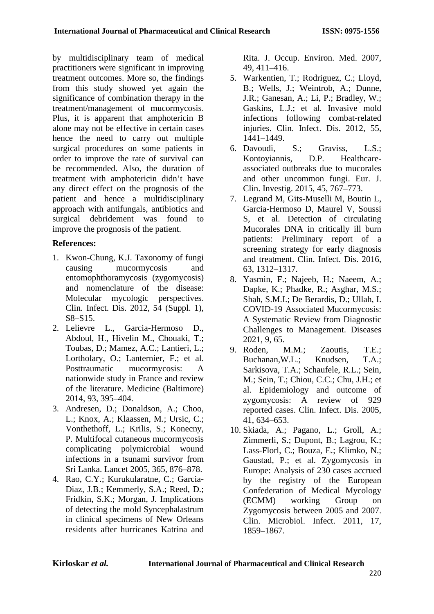by multidisciplinary team of medical practitioners were significant in improving treatment outcomes. More so, the findings from this study showed yet again the significance of combination therapy in the treatment/management of mucormycosis. Plus, it is apparent that amphotericin B alone may not be effective in certain cases hence the need to carry out multiple surgical procedures on some patients in order to improve the rate of survival can be recommended. Also, the duration of treatment with amphotericin didn't have any direct effect on the prognosis of the patient and hence a multidisciplinary approach with antifungals, antibiotics and surgical debridement was found to improve the prognosis of the patient.

# **References:**

- 1. Kwon-Chung, K.J. Taxonomy of fungi causing mucormycosis and entomophthoramycosis (zygomycosis) and nomenclature of the disease: Molecular mycologic perspectives. Clin. Infect. Dis. 2012, 54 (Suppl. 1), S8–S15.
- 2. Lelievre L., Garcia-Hermoso D., Abdoul, H., Hivelin M., Chouaki, T.; Toubas, D.; Mamez, A.C.; Lantieri, L.; Lortholary, O.; Lanternier, F.; et al.<br>Posttraumatic mucormycosis: A  $mu$ cormycosis: A nationwide study in France and review of the literature. Medicine (Baltimore) 2014, 93, 395–404.
- 3. Andresen, D.; Donaldson, A.; Choo, L.; Knox, A.; Klaassen, M.; Ursic, C.; Vonthethoff, L.; Krilis, S.; Konecny, P. Multifocal cutaneous mucormycosis complicating polymicrobial wound infections in a tsunami survivor from Sri Lanka. Lancet 2005, 365, 876–878.
- 4. Rao, C.Y.; Kurukularatne, C.; Garcia-Diaz, J.B.; Kemmerly, S.A.; Reed, D.; Fridkin, S.K.; Morgan, J. Implications of detecting the mold Syncephalastrum in clinical specimens of New Orleans residents after hurricanes Katrina and

Rita. J. Occup. Environ. Med. 2007, 49, 411–416.

- 5. Warkentien, T.; Rodriguez, C.; Lloyd, B.; Wells, J.; Weintrob, A.; Dunne, J.R.; Ganesan, A.; Li, P.; Bradley, W.; Gaskins, L.J.; et al. Invasive mold infections following combat-related injuries. Clin. Infect. Dis. 2012, 55, 1441–1449.
- 6. Davoudi, S.; Graviss, L.S.; Kontoyiannis, D.P. Healthcareassociated outbreaks due to mucorales and other uncommon fungi. Eur. J. Clin. Investig. 2015, 45, 767–773.
- 7. Legrand M, Gits-Muselli M, Boutin L, Garcia-Hermoso D, Maurel V, Soussi S, et al. Detection of circulating Mucorales DNA in critically ill burn patients: Preliminary report of a screening strategy for early diagnosis and treatment. Clin. Infect. Dis. 2016, 63, 1312–1317.
- 8. Yasmin, F.; Najeeb, H.; Naeem, A.; Dapke, K.; Phadke, R.; Asghar, M.S.; Shah, S.M.I.; De Berardis, D.; Ullah, I. COVID-19 Associated Mucormycosis: A Systematic Review from Diagnostic Challenges to Management. Diseases 2021, 9, 65.
- 9. Roden, M.M.; Zaoutis, T.E.; Buchanan,W.L.; Knudsen, T.A.; Sarkisova, T.A.; Schaufele, R.L.; Sein, M.; Sein, T.; Chiou, C.C.; Chu, J.H.; et al. Epidemiology and outcome of zygomycosis: A review of 929 reported cases. Clin. Infect. Dis. 2005, 41, 634–653.
- 10. Skiada, A.; Pagano, L.; Groll, A.; Zimmerli, S.; Dupont, B.; Lagrou, K.; Lass-Florl, C.; Bouza, E.; Klimko, N.; Gaustad, P.; et al. Zygomycosis in Europe: Analysis of 230 cases accrued by the registry of the European Confederation of Medical Mycology (ECMM) working Group on Zygomycosis between 2005 and 2007. Clin. Microbiol. Infect. 2011, 17, 1859–1867.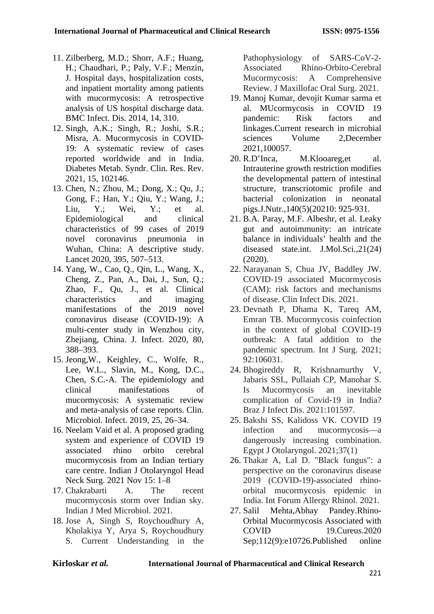- 11. Zilberberg, M.D.; Shorr, A.F.; Huang, H.; Chaudhari, P.; Paly, V.F.; Menzin, J. Hospital days, hospitalization costs, and inpatient mortality among patients with mucormycosis: A retrospective analysis of US hospital discharge data. BMC Infect. Dis. 2014, 14, 310.
- 12. Singh, A.K.; Singh, R.; Joshi, S.R.; Misra, A. Mucormycosis in COVID-19: A systematic review of cases reported worldwide and in India. Diabetes Metab. Syndr. Clin. Res. Rev. 2021, 15, 102146.
- 13. Chen, N.; Zhou, M.; Dong, X.; Qu, J.; Gong, F.; Han, Y.; Qiu, Y.; Wang, J.; Liu, Y.; Wei, Y.; et al. Epidemiological and clinical characteristics of 99 cases of 2019 novel coronavirus pneumonia in Wuhan, China: A descriptive study. Lancet 2020, 395, 507–513.
- 14. Yang, W., Cao, Q., Qin, L., Wang, X., Cheng, Z., Pan, A., Dai, J., Sun, Q.; Zhao, F., Qu, J., et al. Clinical characteristics and imaging manifestations of the 2019 novel coronavirus disease (COVID-19): A multi-center study in Wenzhou city, Zheijang, China. J. Infect. 2020, 80, 388–393.
- 15. Jeong,W., Keighley, C., Wolfe, R., Lee, W.L., Slavin, M., Kong, D.C., Chen, S.C.-A. The epidemiology and clinical manifestations of mucormycosis: A systematic review and meta-analysis of case reports. Clin. Microbiol. Infect. 2019, 25, 26–34.
- 16. Neelam Vaid et al. A proposed grading system and experience of COVID 19 associated rhino orbito cerebral mucormycosis from an Indian tertiary care centre. Indian J Otolaryngol Head Neck Surg. 2021 Nov 15: 1–8
- 17. Chakrabarti A. The recent mucormycosis storm over Indian sky. Indian J Med Microbiol. 2021.
- 18. Jose A, Singh S, Roychoudhury A, Kholakiya Y, Arya S, Roychoudhury S. Current Understanding in the

Pathophysiology of SARS-CoV-2- Associated Rhino-Orbito-Cerebral Mucormycosis: A Comprehensive Review. J Maxillofac Oral Surg. 2021.

- 19. Manoj Kumar, devojit Kumar sarma et al. MUcormycosis in COVID 19 pandemic: Risk factors and linkages.Current research in microbial sciences Volume 2,December 2021,100057.
- 20. R.D'Inca, M.Klooareg,et al. Intrauterine growth restriction modifies the developmental pattern of intestinal structure, transcriotomic profile and bacterial colonization in neonatal pigs.J.Nutr.,140(5)(20210: 925-931.
- 21. B.A. Paray, M.F. Albeshr, et al. Leaky gut and autoimmunity: an intricate balance in individuals' health and the diseased state.int. J.Mol.Sci.,21(24) (2020).
- 22. Narayanan S, Chua JV, Baddley JW. COVID-19 associated Mucormycosis (CAM): risk factors and mechanisms of disease. Clin Infect Dis. 2021.
- 23. Devnath P, Dhama K, Tareq AM, Emran TB. Mucormycosis coinfection in the context of global COVID-19 outbreak: A fatal addition to the pandemic spectrum. Int J Surg. 2021; 92:106031.
- 24. Bhogireddy R, Krishnamurthy V, Jabaris SSL, Pullaiah CP, Manohar S. Is Mucormycosis an inevitable complication of Covid-19 in India? Braz J Infect Dis. 2021:101597.
- 25. Bakshi SS, Kalidoss VK. COVID 19 infection and mucormycosis—a dangerously increasing combination. Egypt J Otolaryngol. 2021;37(1)
- 26. Thakar A, Lal D. "Black fungus": a perspective on the coronavirus disease 2019 (COVID-19)-associated rhinoorbital mucormycosis epidemic in India. Int Forum Allergy Rhinol. 2021.
- 27. Salil Mehta,Abhay Pandey.Rhino-Orbital Mucormycosis Associated with COVID 19.Cureus.2020 Sep;112(9):e10726.Published online

**Kirloskar** *et al.* **International Journal of Pharmaceutical and Clinical Research**